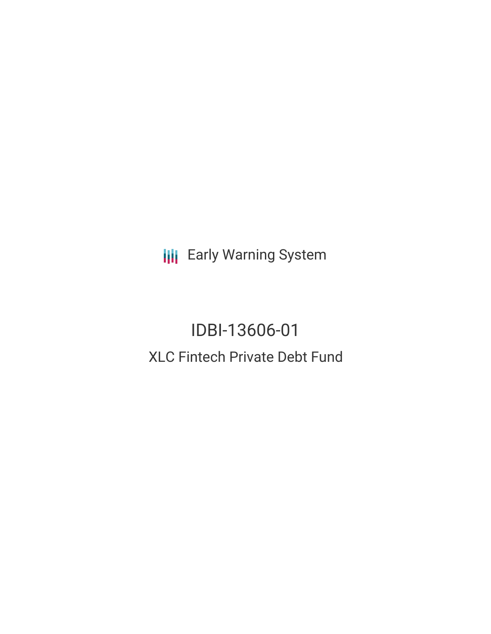**III** Early Warning System

IDBI-13606-01 XLC Fintech Private Debt Fund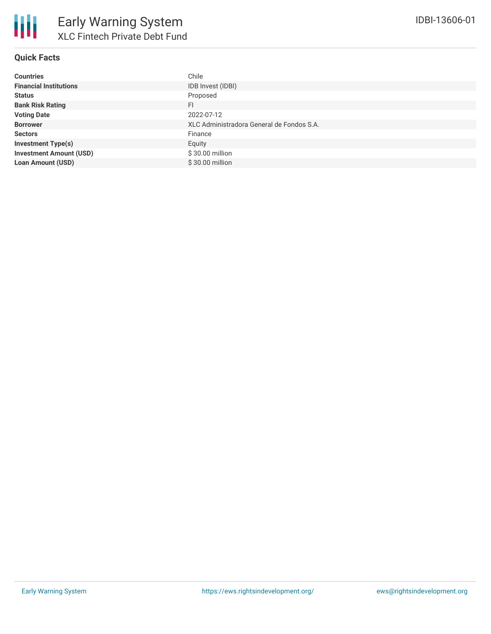

| <b>Countries</b>               | Chile                                     |
|--------------------------------|-------------------------------------------|
| <b>Financial Institutions</b>  | IDB Invest (IDBI)                         |
| <b>Status</b>                  | Proposed                                  |
| <b>Bank Risk Rating</b>        | FI                                        |
| <b>Voting Date</b>             | 2022-07-12                                |
| <b>Borrower</b>                | XLC Administradora General de Fondos S.A. |
| <b>Sectors</b>                 | Finance                                   |
| <b>Investment Type(s)</b>      | Equity                                    |
| <b>Investment Amount (USD)</b> | \$30.00 million                           |
| <b>Loan Amount (USD)</b>       | \$30.00 million                           |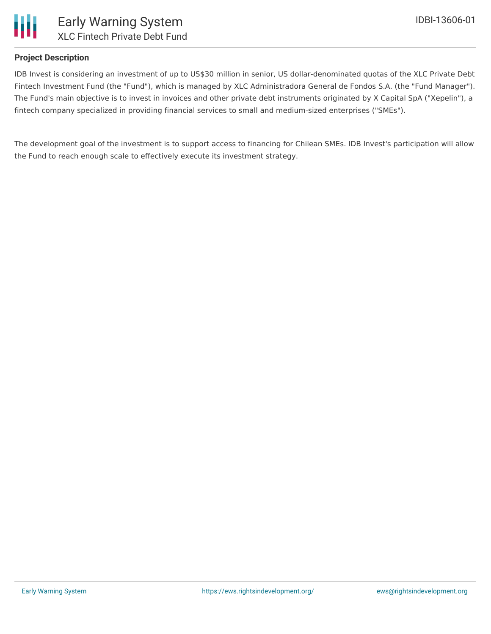

# **Project Description**

IDB Invest is considering an investment of up to US\$30 million in senior, US dollar-denominated quotas of the XLC Private Debt Fintech Investment Fund (the "Fund"), which is managed by XLC Administradora General de Fondos S.A. (the "Fund Manager"). The Fund's main objective is to invest in invoices and other private debt instruments originated by X Capital SpA ("Xepelin"), a fintech company specialized in providing financial services to small and medium-sized enterprises ("SMEs").

The development goal of the investment is to support access to financing for Chilean SMEs. IDB Invest's participation will allow the Fund to reach enough scale to effectively execute its investment strategy.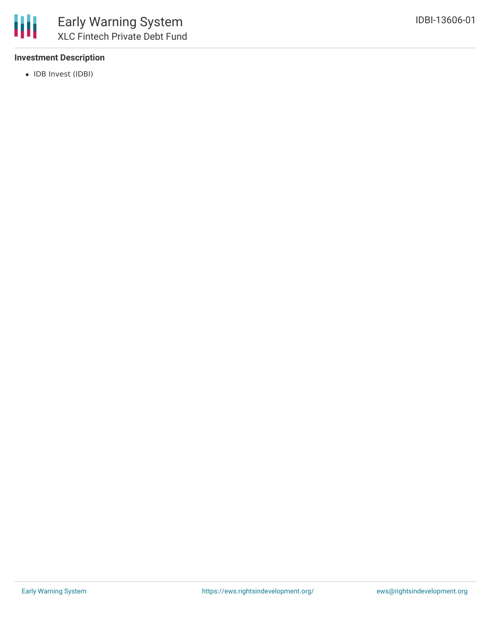# **Investment Description**

• IDB Invest (IDBI)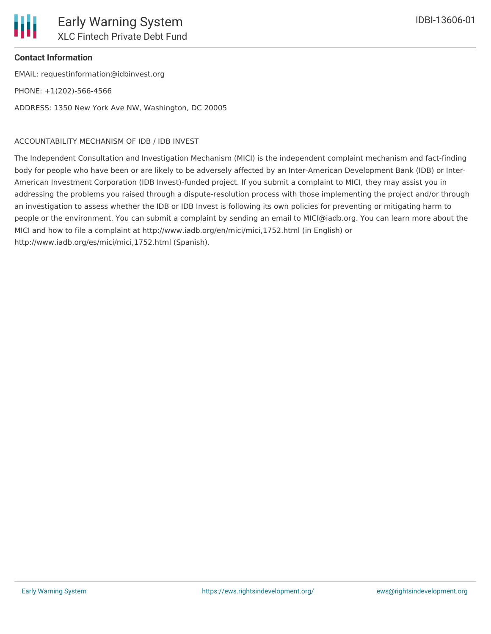

# **Contact Information**

EMAIL: requestinformation@idbinvest.org PHONE: +1(202)-566-4566 ADDRESS: 1350 New York Ave NW, Washington, DC 20005

#### ACCOUNTABILITY MECHANISM OF IDB / IDB INVEST

The Independent Consultation and Investigation Mechanism (MICI) is the independent complaint mechanism and fact-finding body for people who have been or are likely to be adversely affected by an Inter-American Development Bank (IDB) or Inter-American Investment Corporation (IDB Invest)-funded project. If you submit a complaint to MICI, they may assist you in addressing the problems you raised through a dispute-resolution process with those implementing the project and/or through an investigation to assess whether the IDB or IDB Invest is following its own policies for preventing or mitigating harm to people or the environment. You can submit a complaint by sending an email to MICI@iadb.org. You can learn more about the MICI and how to file a complaint at http://www.iadb.org/en/mici/mici,1752.html (in English) or http://www.iadb.org/es/mici/mici,1752.html (Spanish).